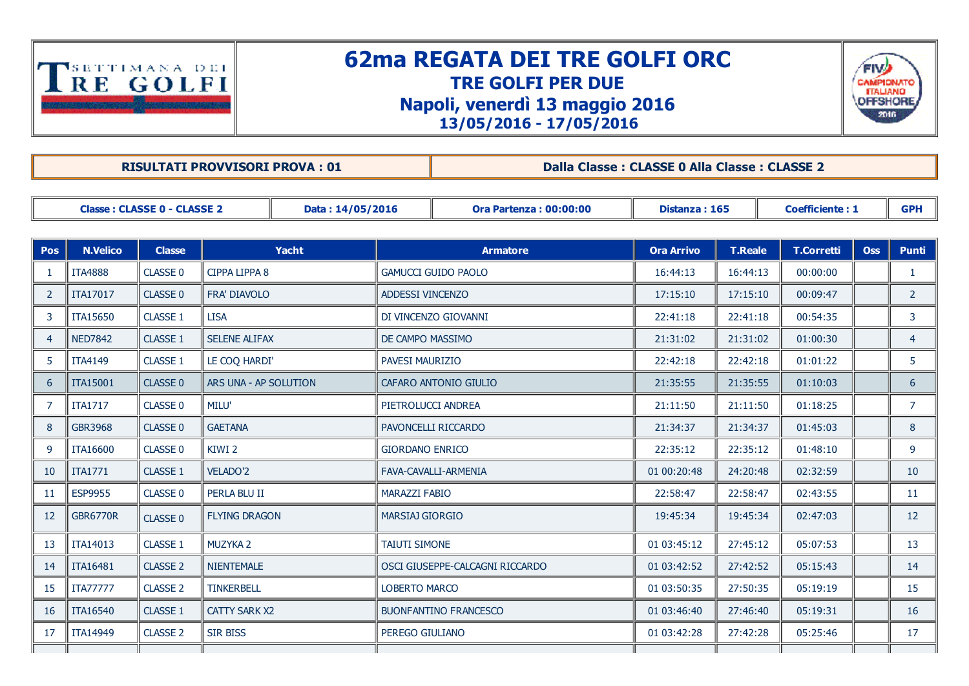

## 62ma REGATA DEI TRE GOLFI ORC TRE GOLFI PER DUE Napoli, venerdì 13 maggio 2016 13/05/2016 17/05/2016



RISULTATI PROVVISORI PROVA : 01 Dalla Classe : CLASSE 0 Alla Classe : CLASSE 2

| <b>Classe: CLASSE 0 - CLASSE 2</b> |                 |                 |                       | Data: 14/05/2016 | <b>Ora Partenza: 00:00:00</b>   |                      | Distanza: 165     |                | <b>Coefficiente: 1</b> |            | <b>GPH</b>     |
|------------------------------------|-----------------|-----------------|-----------------------|------------------|---------------------------------|----------------------|-------------------|----------------|------------------------|------------|----------------|
|                                    |                 |                 |                       |                  |                                 |                      |                   |                |                        |            |                |
| Pos                                | <b>N.Velico</b> | <b>Classe</b>   | Yacht                 |                  | <b>Armatore</b>                 |                      | <b>Ora Arrivo</b> | <b>T.Reale</b> | <b>T.Corretti</b>      | <b>Oss</b> | <b>Punti</b>   |
| -1                                 | <b>ITA4888</b>  | CLASSE 0        | <b>CIPPA LIPPA 8</b>  |                  | <b>GAMUCCI GUIDO PAOLO</b>      |                      | 16:44:13          | 16:44:13       | 00:00:00               |            | 1              |
| 2                                  | <b>ITA17017</b> | <b>CLASSE 0</b> | FRA' DIAVOLO          |                  | ADDESSI VINCENZO                |                      | 17:15:10          | 17:15:10       | 00:09:47               |            | $\overline{2}$ |
| 3                                  | <b>ITA15650</b> | <b>CLASSE 1</b> | <b>LISA</b>           |                  | DI VINCENZO GIOVANNI            |                      | 22:41:18          | 22:41:18       | 00:54:35               |            | 3              |
| $\overline{4}$                     | <b>NED7842</b>  | CLASSE 1        | <b>SELENE ALIFAX</b>  |                  | DE CAMPO MASSIMO                |                      | 21:31:02          | 21:31:02       | 01:00:30               |            | $\overline{4}$ |
| 5                                  | <b>ITA4149</b>  | CLASSE 1        | LE COQ HARDI'         |                  | <b>PAVESI MAURIZIO</b>          |                      | 22:42:18          | 22:42:18       | 01:01:22               |            | 5.             |
| 6                                  | <b>ITA15001</b> | CLASSE 0        | ARS UNA - AP SOLUTION |                  | CAFARO ANTONIO GIULIO           |                      | 21:35:55          | 21:35:55       | 01:10:03               |            | 6              |
| $\overline{7}$                     | <b>ITA1717</b>  | <b>CLASSE 0</b> | <b>MILU'</b>          |                  | PIETROLUCCI ANDREA              |                      | 21:11:50          | 21:11:50       | 01:18:25               |            | $\overline{7}$ |
| 8                                  | <b>GBR3968</b>  | CLASSE 0        | <b>GAETANA</b>        |                  | PAVONCELLI RICCARDO             |                      | 21:34:37          | 21:34:37       | 01:45:03               |            | 8              |
| 9                                  | <b>ITA16600</b> | CLASSE 0        | KIWI <sub>2</sub>     |                  | <b>GIORDANO ENRICO</b>          |                      | 22:35:12          | 22:35:12       | 01:48:10               |            | 9              |
| 10                                 | <b>ITA1771</b>  | <b>CLASSE 1</b> | <b>VELADO'2</b>       |                  |                                 | FAVA-CAVALLI-ARMENIA | 01 00:20:48       | 24:20:48       | 02:32:59               |            | 10             |
| 11                                 | <b>ESP9955</b>  | CLASSE 0        | PERLA BLU II          |                  | <b>MARAZZI FABIO</b>            |                      | 22:58:47          | 22:58:47       | 02:43:55               |            | 11             |
| 12                                 | <b>GBR6770R</b> | CLASSE 0        | <b>FLYING DRAGON</b>  |                  | <b>MARSIAJ GIORGIO</b>          |                      | 19:45:34          | 19:45:34       | 02:47:03               |            | 12             |
| 13                                 | <b>ITA14013</b> | CLASSE 1        | <b>MUZYKA 2</b>       |                  | <b>TAIUTI SIMONE</b>            |                      | 01 03:45:12       | 27:45:12       | 05:07:53               |            | 13             |
| 14                                 | <b>ITA16481</b> | <b>CLASSE 2</b> | <b>NIENTEMALE</b>     |                  | OSCI GIUSEPPE-CALCAGNI RICCARDO |                      | 01 03:42:52       | 27:42:52       | 05:15:43               |            | 14             |
| 15                                 | <b>ITA77777</b> | <b>CLASSE 2</b> | <b>TINKERBELL</b>     |                  | <b>LOBERTO MARCO</b>            |                      | 01 03:50:35       | 27:50:35       | 05:19:19               |            | 15             |
| <b>16</b>                          | <b>ITA16540</b> | <b>CLASSE 1</b> | <b>CATTY SARK X2</b>  |                  | <b>BUONFANTINO FRANCESCO</b>    |                      | 01 03:46:40       | 27:46:40       | 05:19:31               |            | 16             |
| -17                                | <b>ITA14949</b> | <b>CLASSE 2</b> | <b>SIR BISS</b>       |                  | PEREGO GIULIANO                 |                      | 01 03:42:28       | 27:42:28       | 05:25:46               |            | 17             |
|                                    |                 |                 |                       |                  |                                 |                      |                   |                |                        |            |                |